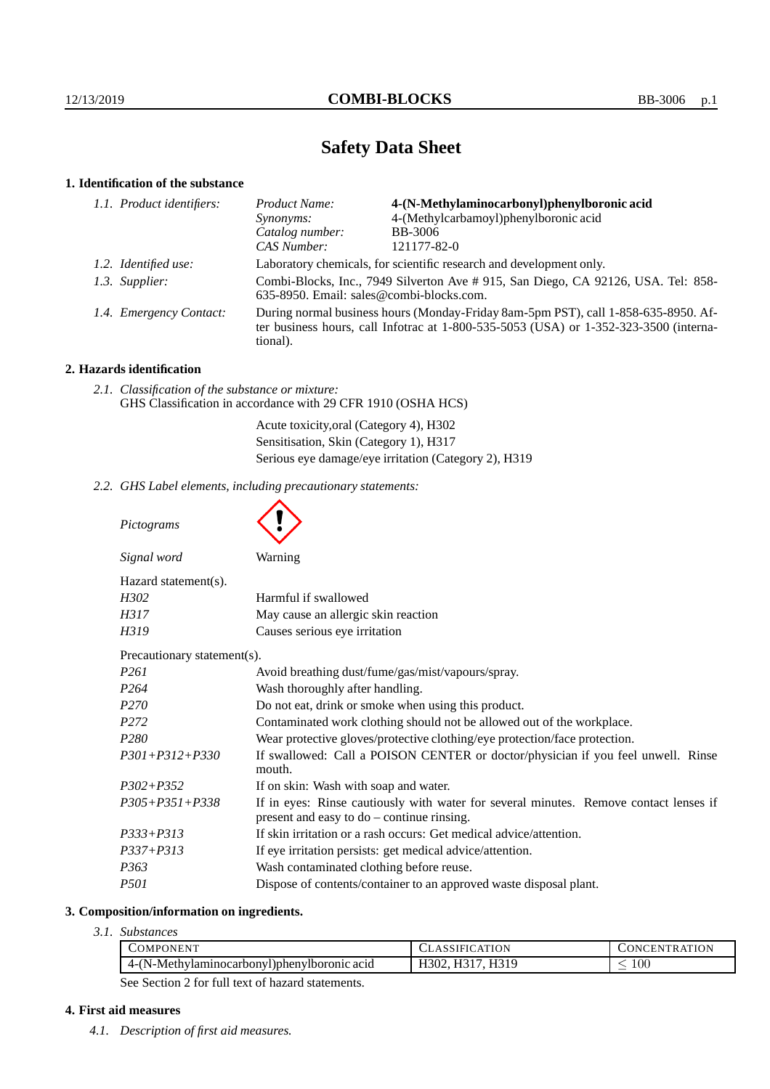# **Safety Data Sheet**

# **1. Identification of the substance**

| 1.1. Product identifiers: | Product Name:                                                                                                                                                                               | 4-(N-Methylaminocarbonyl)phenylboronic acid                         |
|---------------------------|---------------------------------------------------------------------------------------------------------------------------------------------------------------------------------------------|---------------------------------------------------------------------|
|                           | Synonyms:                                                                                                                                                                                   | 4-(Methylcarbamoyl)phenylboronic acid                               |
|                           | Catalog number:                                                                                                                                                                             | <b>BB-3006</b>                                                      |
|                           | CAS Number:                                                                                                                                                                                 | 121177-82-0                                                         |
| 1.2. Identified use:      |                                                                                                                                                                                             | Laboratory chemicals, for scientific research and development only. |
| 1.3. Supplier:            | Combi-Blocks, Inc., 7949 Silverton Ave #915, San Diego, CA 92126, USA. Tel: 858-<br>635-8950. Email: sales@combi-blocks.com.                                                                |                                                                     |
| 1.4. Emergency Contact:   | During normal business hours (Monday-Friday 8am-5pm PST), call 1-858-635-8950. Af-<br>ter business hours, call Infotrac at $1-800-535-5053$ (USA) or $1-352-323-3500$ (interna-<br>tional). |                                                                     |
|                           |                                                                                                                                                                                             |                                                                     |

# **2. Hazards identification**

|                                                              | 2.1. Classification of the substance or mixture: |  |  |
|--------------------------------------------------------------|--------------------------------------------------|--|--|
| GHS Classification in accordance with 29 CFR 1910 (OSHA HCS) |                                                  |  |  |
|                                                              | Acute toxicity, oral (Category 4), H302          |  |  |

Sensitisation, Skin (Category 1), H317 Serious eye damage/eye irritation (Category 2), H319

*2.2. GHS Label elements, including precautionary statements:*

| Pictograms                  |                                                                                                                                     |
|-----------------------------|-------------------------------------------------------------------------------------------------------------------------------------|
| Signal word                 | Warning                                                                                                                             |
| Hazard statement(s).        |                                                                                                                                     |
| H302                        | Harmful if swallowed                                                                                                                |
| H317                        | May cause an allergic skin reaction                                                                                                 |
| H319                        | Causes serious eye irritation                                                                                                       |
| Precautionary statement(s). |                                                                                                                                     |
| P <sub>261</sub>            | Avoid breathing dust/fume/gas/mist/vapours/spray.                                                                                   |
| P <sub>264</sub>            | Wash thoroughly after handling.                                                                                                     |
| P <sub>270</sub>            | Do not eat, drink or smoke when using this product.                                                                                 |
| P <sub>272</sub>            | Contaminated work clothing should not be allowed out of the workplace.                                                              |
| P <sub>280</sub>            | Wear protective gloves/protective clothing/eye protection/face protection.                                                          |
| $P301 + P312 + P330$        | If swallowed: Call a POISON CENTER or doctor/physician if you feel unwell. Rinse<br>mouth.                                          |
| $P302 + P352$               | If on skin: Wash with soap and water.                                                                                               |
| $P305 + P351 + P338$        | If in eyes: Rinse cautiously with water for several minutes. Remove contact lenses if<br>present and easy to do – continue rinsing. |
| $P333+P313$                 | If skin irritation or a rash occurs: Get medical advice/attention.                                                                  |
| $P337 + P313$               | If eye irritation persists: get medical advice/attention.                                                                           |
| P <sub>363</sub>            | Wash contaminated clothing before reuse.                                                                                            |
| <i>P501</i>                 | Dispose of contents/container to an approved waste disposal plant.                                                                  |

### **3. Composition/information on ingredients.**

# *3.1. Substances*

| COMPONENT                                                                                                                                      | $\mathcal{L}\text{LASSIFICATION}$ | CONCENTRATION |
|------------------------------------------------------------------------------------------------------------------------------------------------|-----------------------------------|---------------|
| 4-(N-Methylaminocarbonyl)phenylboronic acid                                                                                                    | H302, H317, H319                  | $100\,$       |
| $\alpha$ . $\alpha$ . $\alpha$ . $\alpha$ $\alpha$ . $\alpha$ 11 $\alpha$ . $\alpha$ . $\alpha$ 1, $\alpha$ . $\alpha$ . $\alpha$ . $\alpha$ . |                                   |               |

See Section 2 for full text of hazard statements.

# **4. First aid measures**

*4.1. Description of first aid measures.*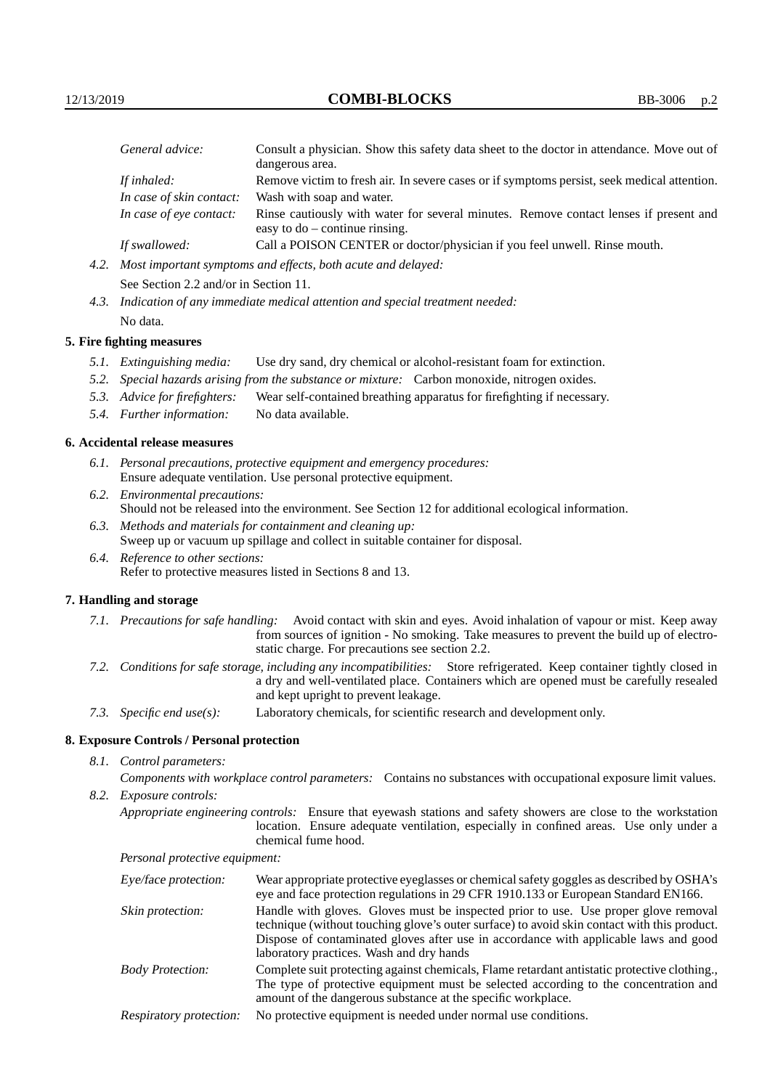| General advice:          | Consult a physician. Show this safety data sheet to the doctor in attendance. Move out of<br>dangerous area.              |
|--------------------------|---------------------------------------------------------------------------------------------------------------------------|
| If inhaled:              | Remove victim to fresh air. In severe cases or if symptoms persist, seek medical attention.                               |
| In case of skin contact: | Wash with soap and water.                                                                                                 |
| In case of eye contact:  | Rinse cautiously with water for several minutes. Remove contact lenses if present and<br>easy to $do$ – continue rinsing. |
| If swallowed:            | Call a POISON CENTER or doctor/physician if you feel unwell. Rinse mouth.                                                 |

- *4.2. Most important symptoms and effects, both acute and delayed:* See Section 2.2 and/or in Section 11.
- *4.3. Indication of any immediate medical attention and special treatment needed:*

No data.

### **5. Fire fighting measures**

- *5.1. Extinguishing media:* Use dry sand, dry chemical or alcohol-resistant foam for extinction.
- *5.2. Special hazards arising from the substance or mixture:* Carbon monoxide, nitrogen oxides.
- *5.3. Advice for firefighters:* Wear self-contained breathing apparatus for firefighting if necessary.
- *5.4. Further information:* No data available.

#### **6. Accidental release measures**

- *6.1. Personal precautions, protective equipment and emergency procedures:* Ensure adequate ventilation. Use personal protective equipment.
- *6.2. Environmental precautions:* Should not be released into the environment. See Section 12 for additional ecological information.
- *6.3. Methods and materials for containment and cleaning up:* Sweep up or vacuum up spillage and collect in suitable container for disposal.
- *6.4. Reference to other sections:* Refer to protective measures listed in Sections 8 and 13.

#### **7. Handling and storage**

- *7.1. Precautions for safe handling:* Avoid contact with skin and eyes. Avoid inhalation of vapour or mist. Keep away from sources of ignition - No smoking. Take measures to prevent the build up of electrostatic charge. For precautions see section 2.2.
- *7.2. Conditions for safe storage, including any incompatibilities:* Store refrigerated. Keep container tightly closed in a dry and well-ventilated place. Containers which are opened must be carefully resealed and kept upright to prevent leakage.
- *7.3. Specific end use(s):* Laboratory chemicals, for scientific research and development only.

#### **8. Exposure Controls / Personal protection**

*8.1. Control parameters:*

*Components with workplace control parameters:* Contains no substances with occupational exposure limit values. *8.2. Exposure controls:*

*Appropriate engineering controls:* Ensure that eyewash stations and safety showers are close to the workstation location. Ensure adequate ventilation, especially in confined areas. Use only under a chemical fume hood.

|  | Personal protective equipment: |
|--|--------------------------------|
|  |                                |

| Eye/face protection:    | Wear appropriate protective eyeglasses or chemical safety goggles as described by OSHA's<br>eye and face protection regulations in 29 CFR 1910.133 or European Standard EN166.                                                                                                                                         |
|-------------------------|------------------------------------------------------------------------------------------------------------------------------------------------------------------------------------------------------------------------------------------------------------------------------------------------------------------------|
| Skin protection:        | Handle with gloves. Gloves must be inspected prior to use. Use proper glove removal<br>technique (without touching glove's outer surface) to avoid skin contact with this product.<br>Dispose of contaminated gloves after use in accordance with applicable laws and good<br>laboratory practices. Wash and dry hands |
| <b>Body Protection:</b> | Complete suit protecting against chemicals, Flame retardant antistatic protective clothing.<br>The type of protective equipment must be selected according to the concentration and<br>amount of the dangerous substance at the specific workplace.                                                                    |
| Respiratory protection: | No protective equipment is needed under normal use conditions.                                                                                                                                                                                                                                                         |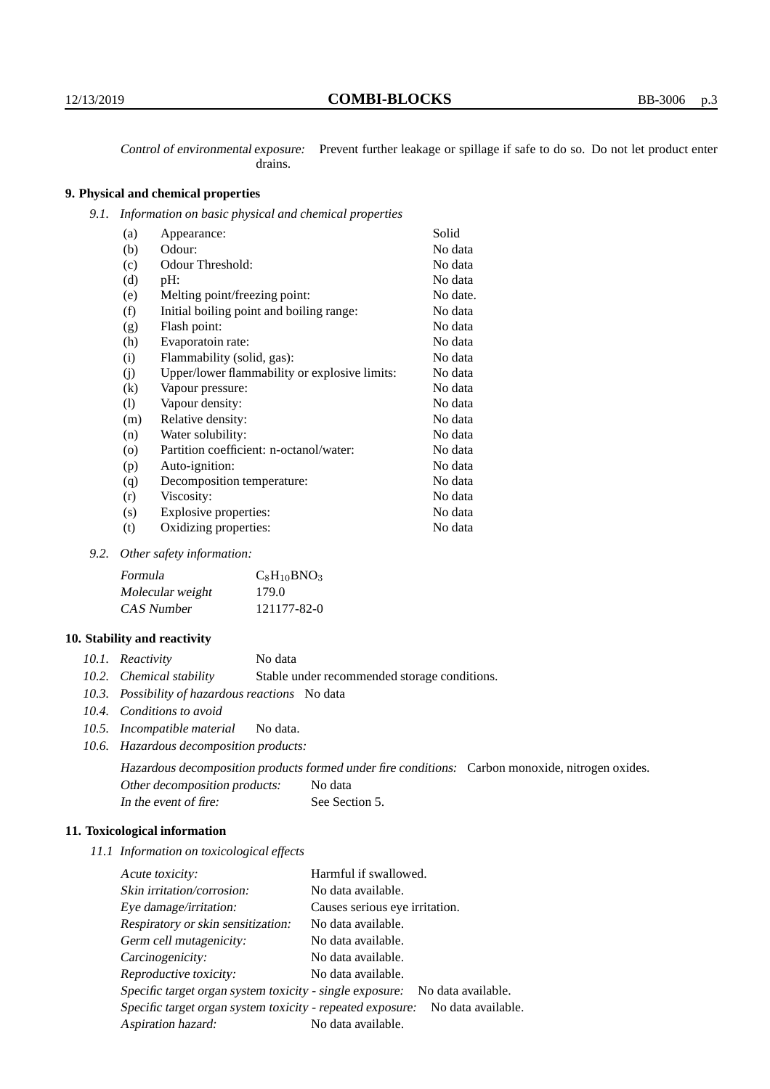Control of environmental exposure: Prevent further leakage or spillage if safe to do so. Do not let product enter drains.

# **9. Physical and chemical properties**

*9.1. Information on basic physical and chemical properties*

| (a)                        | Appearance:                                   | Solid    |
|----------------------------|-----------------------------------------------|----------|
| (b)                        | Odour:                                        | No data  |
| (c)                        | Odour Threshold:                              | No data  |
| (d)                        | pH:                                           | No data  |
| (e)                        | Melting point/freezing point:                 | No date. |
| (f)                        | Initial boiling point and boiling range:      | No data  |
| (g)                        | Flash point:                                  | No data  |
| (h)                        | Evaporatoin rate:                             | No data  |
| (i)                        | Flammability (solid, gas):                    | No data  |
| (j)                        | Upper/lower flammability or explosive limits: | No data  |
| (k)                        | Vapour pressure:                              | No data  |
| $\left( \mathrm{l}\right)$ | Vapour density:                               | No data  |
| (m)                        | Relative density:                             | No data  |
| (n)                        | Water solubility:                             | No data  |
| (0)                        | Partition coefficient: n-octanol/water:       | No data  |
| (p)                        | Auto-ignition:                                | No data  |
| (q)                        | Decomposition temperature:                    | No data  |
| (r)                        | Viscosity:                                    | No data  |
| (s)                        | Explosive properties:                         | No data  |
| (t)                        | Oxidizing properties:                         | No data  |

### *9.2. Other safety information:*

| Formula          | $C_8H_{10}BNO_3$ |
|------------------|------------------|
| Molecular weight | 179.0            |
| CAS Number       | 121177-82-0      |

### **10. Stability and reactivity**

|  | 10.1. Reactivity | No data |
|--|------------------|---------|
|--|------------------|---------|

- *10.2. Chemical stability* Stable under recommended storage conditions.
- *10.3. Possibility of hazardous reactions* No data
- *10.4. Conditions to avoid*
- *10.5. Incompatible material* No data.
- *10.6. Hazardous decomposition products:*

Hazardous decomposition products formed under fire conditions: Carbon monoxide, nitrogen oxides. Other decomposition products: No data In the event of fire: See Section 5.

### **11. Toxicological information**

*11.1 Information on toxicological effects*

| Acute toxicity:                                                                  | Harmful if swallowed.          |  |
|----------------------------------------------------------------------------------|--------------------------------|--|
| Skin irritation/corrosion:                                                       | No data available.             |  |
| Eye damage/irritation:                                                           | Causes serious eye irritation. |  |
| Respiratory or skin sensitization:                                               | No data available.             |  |
| Germ cell mutagenicity:                                                          | No data available.             |  |
| Carcinogenicity:                                                                 | No data available.             |  |
| Reproductive toxicity:                                                           | No data available.             |  |
| Specific target organ system toxicity - single exposure:<br>No data available.   |                                |  |
| Specific target organ system toxicity - repeated exposure:<br>No data available. |                                |  |
| Aspiration hazard:                                                               | No data available.             |  |